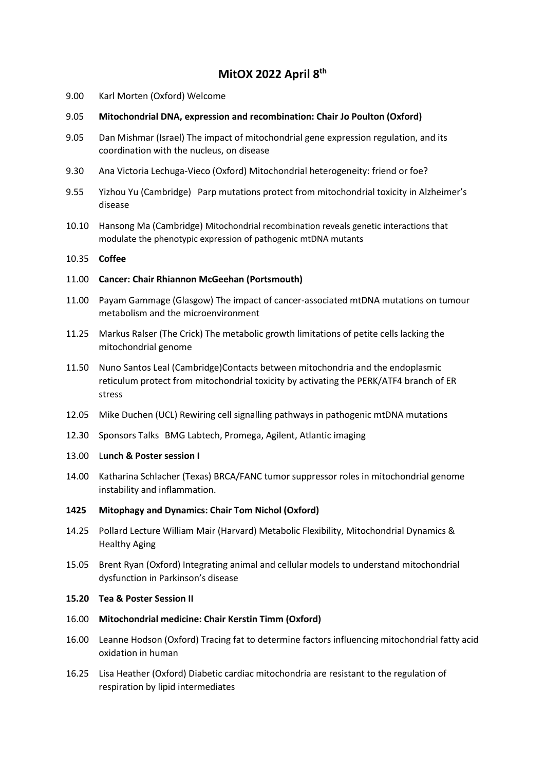# **MitOX 2022 April 8th**

- 9.00 Karl Morten (Oxford) Welcome
- 9.05 **Mitochondrial DNA, expression and recombination: Chair Jo Poulton (Oxford)**
- 9.05 Dan Mishmar (Israel) The impact of mitochondrial gene expression regulation, and its coordination with the nucleus, on disease
- 9.30 Ana Victoria Lechuga-Vieco (Oxford) Mitochondrial heterogeneity: friend or foe?
- 9.55 Yizhou Yu (Cambridge) Parp mutations protect from mitochondrial toxicity in Alzheimer's disease
- 10.10 Hansong Ma (Cambridge) Mitochondrial recombination reveals genetic interactions that modulate the phenotypic expression of pathogenic mtDNA mutants

# 10.35 **Coffee**

# 11.00 **Cancer: Chair Rhiannon McGeehan (Portsmouth)**

- 11.00 Payam Gammage (Glasgow) The impact of cancer-associated mtDNA mutations on tumour metabolism and the microenvironment
- 11.25 Markus Ralser (The Crick) The metabolic growth limitations of petite cells lacking the mitochondrial genome
- 11.50 Nuno Santos Leal (Cambridge)Contacts between mitochondria and the endoplasmic reticulum protect from mitochondrial toxicity by activating the PERK/ATF4 branch of ER stress
- 12.05 Mike Duchen (UCL) Rewiring cell signalling pathways in pathogenic mtDNA mutations
- 12.30 Sponsors Talks BMG Labtech, Promega, Agilent, Atlantic imaging
- 13.00 L**unch & Poster session I**
- 14.00 Katharina Schlacher (Texas) BRCA/FANC tumor suppressor roles in mitochondrial genome instability and inflammation.

### **1425 Mitophagy and Dynamics: Chair Tom Nichol (Oxford)**

- 14.25 Pollard Lecture William Mair (Harvard) Metabolic Flexibility, Mitochondrial Dynamics & Healthy Aging
- 15.05 Brent Ryan (Oxford) Integrating animal and cellular models to understand mitochondrial dysfunction in Parkinson's disease

### **15.20 Tea & Poster Session II**

- 16.00 **Mitochondrial medicine: Chair Kerstin Timm (Oxford)**
- 16.00 Leanne Hodson (Oxford) Tracing fat to determine factors influencing mitochondrial fatty acid oxidation in human
- 16.25 Lisa Heather (Oxford) Diabetic cardiac mitochondria are resistant to the regulation of respiration by lipid intermediates